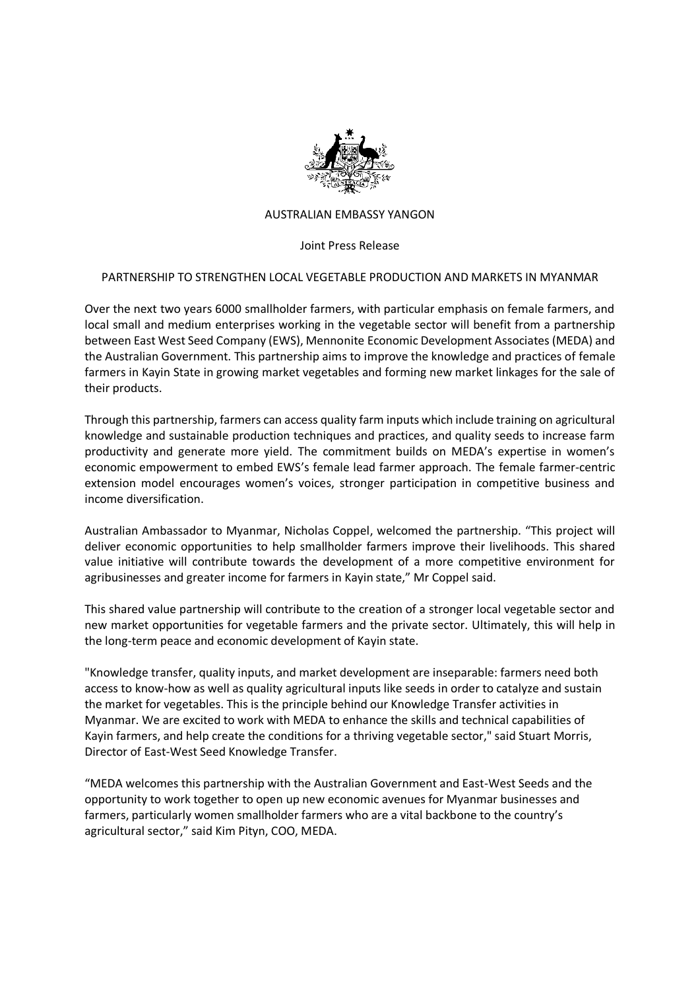

## AUSTRALIAN EMBASSY YANGON

Joint Press Release

## PARTNERSHIP TO STRENGTHEN LOCAL VEGETABLE PRODUCTION AND MARKETS IN MYANMAR

Over the next two years 6000 smallholder farmers, with particular emphasis on female farmers, and local small and medium enterprises working in the vegetable sector will benefit from a partnership between East West Seed Company (EWS), Mennonite Economic Development Associates (MEDA) and the Australian Government. This partnership aims to improve the knowledge and practices of female farmers in Kayin State in growing market vegetables and forming new market linkages for the sale of their products.

Through this partnership, farmers can access quality farm inputs which include training on agricultural knowledge and sustainable production techniques and practices, and quality seeds to increase farm productivity and generate more yield. The commitment builds on MEDA's expertise in women's economic empowerment to embed EWS's female lead farmer approach. The female farmer-centric extension model encourages women's voices, stronger participation in competitive business and income diversification.

Australian Ambassador to Myanmar, Nicholas Coppel, welcomed the partnership. "This project will deliver economic opportunities to help smallholder farmers improve their livelihoods. This shared value initiative will contribute towards the development of a more competitive environment for agribusinesses and greater income for farmers in Kayin state," Mr Coppel said.

This shared value partnership will contribute to the creation of a stronger local vegetable sector and new market opportunities for vegetable farmers and the private sector. Ultimately, this will help in the long-term peace and economic development of Kayin state.

"Knowledge transfer, quality inputs, and market development are inseparable: farmers need both access to know-how as well as quality agricultural inputs like seeds in order to catalyze and sustain the market for vegetables. This is the principle behind our Knowledge Transfer activities in Myanmar. We are excited to work with MEDA to enhance the skills and technical capabilities of Kayin farmers, and help create the conditions for a thriving vegetable sector," said Stuart Morris, Director of East-West Seed Knowledge Transfer.

"MEDA welcomes this partnership with the Australian Government and East-West Seeds and the opportunity to work together to open up new economic avenues for Myanmar businesses and farmers, particularly women smallholder farmers who are a vital backbone to the country's agricultural sector," said Kim Pityn, COO, MEDA.